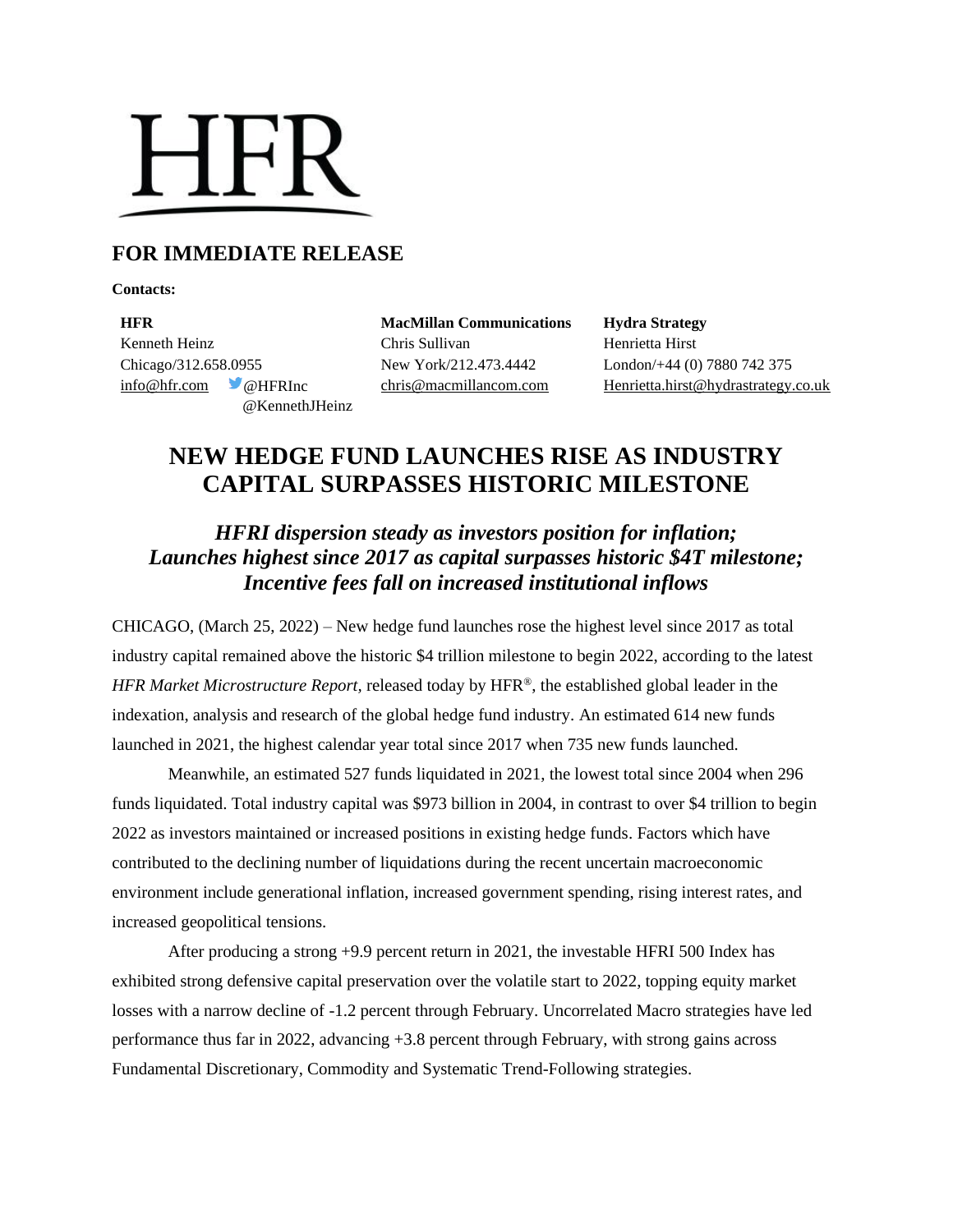# **HFR**

## **FOR IMMEDIATE RELEASE**

**Contacts:**

**HFR MacMillan Communications Hydra Strategy** Kenneth Heinz **Chris Sullivan** Chris Sullivan Henrietta Hirst Chicago/312.658.0955 New York/212.473.4442 London/+44 (0) 7880 742 375 @KennethJHeinz

[info@hfr.com](mailto:info@hfr.com) @HFRInc [chris@macmillancom.com](mailto:chris@macmillancom.com) Henrietta.hirst@hydrastrategy.co.uk

# **NEW HEDGE FUND LAUNCHES RISE AS INDUSTRY CAPITAL SURPASSES HISTORIC MILESTONE**

### *HFRI dispersion steady as investors position for inflation; Launches highest since 2017 as capital surpasses historic \$4T milestone; Incentive fees fall on increased institutional inflows*

CHICAGO, (March 25, 2022) – New hedge fund launches rose the highest level since 2017 as total industry capital remained above the historic \$4 trillion milestone to begin 2022, according to the latest *HFR Market Microstructure Report,* released today by HFR®, the established global leader in the indexation, analysis and research of the global hedge fund industry. An estimated 614 new funds launched in 2021, the highest calendar year total since 2017 when 735 new funds launched.

Meanwhile, an estimated 527 funds liquidated in 2021, the lowest total since 2004 when 296 funds liquidated. Total industry capital was \$973 billion in 2004, in contrast to over \$4 trillion to begin 2022 as investors maintained or increased positions in existing hedge funds. Factors which have contributed to the declining number of liquidations during the recent uncertain macroeconomic environment include generational inflation, increased government spending, rising interest rates, and increased geopolitical tensions.

After producing a strong +9.9 percent return in 2021, the investable HFRI 500 Index has exhibited strong defensive capital preservation over the volatile start to 2022, topping equity market losses with a narrow decline of -1.2 percent through February. Uncorrelated Macro strategies have led performance thus far in 2022, advancing +3.8 percent through February, with strong gains across Fundamental Discretionary, Commodity and Systematic Trend-Following strategies.